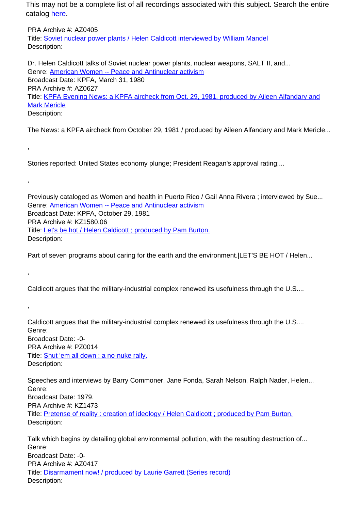PRA Archive #: AZ0405 Title: Soviet nuclear power plants / Helen Caldicott interviewed by William Mandel Description:

Dr. Helen Caldicott talks of Soviet nuclear power plants, nuclear weapons, SALT II, and... Genre: American Women -- Peace and Antinuclear activism Broadcast Date: KPFA, March 31, 1980 PRA Archive #: AZ0627 Title: KPFA Evening News: a KPFA aircheck from Oct. 29, 1981. produced by Aileen Alfandary and Mark Mericle Description:

The News: a KPFA aircheck from October 29, 1981 / produced by Aileen Alfandary and Mark Mericle...

Stories reported: United States economy plunge; President Reagan's approval rating;...

,

,

,

,

Previously cataloged as Women and health in Puerto Rico / Gail Anna Rivera ; interviewed by Sue... Genre: American Women -- Peace and Antinuclear activism Broadcast Date: KPFA, October 29, 1981 PRA Archive #: KZ1580.06 Title: Let's be hot / Helen Caldicott ; produced by Pam Burton. Description:

Part of seven programs about caring for the earth and the environment. LET'S BE HOT / Helen...

Caldicott argues that the military-industrial complex renewed its usefulness through the U.S....

Caldicott argues that the military-industrial complex renewed its usefulness through the U.S.... Genre: Broadcast Date: -0- PRA Archive #: PZ0014 Title: Shut 'em all down : a no-nuke rally. Description:

Speeches and interviews by Barry Commoner, Jane Fonda, Sarah Nelson, Ralph Nader, Helen... Genre: Broadcast Date: 1979. PRA Archive #: KZ1473 Title: Pretense of reality : creation of ideology / Helen Caldicott ; produced by Pam Burton. Description:

Talk which begins by detailing global environmental pollution, with the resulting destruction of... Genre: Broadcast Date: -0- PRA Archive #: AZ0417 Title: Disarmament now! / produced by Laurie Garrett (Series record) Description: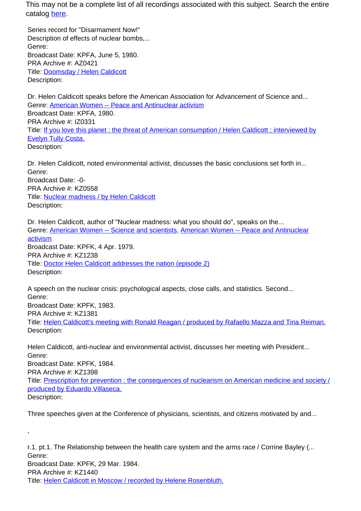Series record for "Disarmament Now!" Description of effects of nuclear bombs,... Genre: Broadcast Date: KPFA, June 5, 1980. PRA Archive #: AZ0421 Title: Doomsday / Helen Caldicott Description:

Dr. Helen Caldicott speaks before the American Association for Advancement of Science and... Genre: American Women -- Peace and Antinuclear activism Broadcast Date: KPFA, 1980. PRA Archive #: IZ0331 Title: If you love this planet : the threat of American consumption / Helen Caldicott ; interviewed by Evelyn Tully Costa. Description:

Dr. Helen Caldicott, noted environmental activist, discusses the basic conclusions set forth in... Genre: Broadcast Date: -0- PRA Archive #: KZ0558 Title: Nuclear madness / by Helen Caldicott Description:

Dr. Helen Caldicott, author of "Nuclear madness: what you should do", speaks on the... Genre: American Women -- Science and scientists, American Women -- Peace and Antinuclear activism Broadcast Date: KPFK, 4 Apr. 1979. PRA Archive #: KZ1238 Title: Doctor Helen Caldicott addresses the nation (episode 2) Description:

A speech on the nuclear crisis: psychological aspects, close calls, and statistics. Second... Genre: Broadcast Date: KPFK, 1983. PRA Archive #: KZ1381 Title: Helen Caldicott's meeting with Ronald Reagan / produced by Rafaello Mazza and Tina Reiman. Description:

Helen Caldicott, anti-nuclear and environmental activist, discusses her meeting with President... Genre: Broadcast Date: KPFK, 1984. PRA Archive #: KZ1398 Title: Prescription for prevention : the consequences of nuclearism on American medicine and society / produced by Eduardo Villaseca. Description:

Three speeches given at the Conference of physicians, scientists, and citizens motivated by and...

,

r.1. pt.1. The Relationship between the health care system and the arms race / Corrine Bayley (... Genre: Broadcast Date: KPFK, 29 Mar. 1984. PRA Archive #: KZ1440 Title: Helen Caldicott in Moscow / recorded by Helene Rosenbluth.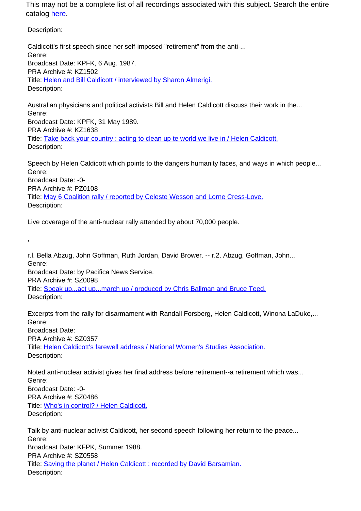Description:

,

Caldicott's first speech since her self-imposed "retirement" from the anti-... Genre: Broadcast Date: KPFK, 6 Aug. 1987. PRA Archive #: KZ1502 Title: Helen and Bill Caldicott / interviewed by Sharon Almerigi. Description:

Australian physicians and political activists Bill and Helen Caldicott discuss their work in the... Genre: Broadcast Date: KPFK, 31 May 1989. PRA Archive #: KZ1638 Title: Take back your country : acting to clean up te world we live in / Helen Caldicott. Description:

Speech by Helen Caldicott which points to the dangers humanity faces, and ways in which people... Genre: Broadcast Date: -0- PRA Archive #: PZ0108

Title: May 6 Coalition rally / reported by Celeste Wesson and Lorne Cress-Love. Description:

Live coverage of the anti-nuclear rally attended by about 70,000 people.

r.l. Bella Abzug, John Goffman, Ruth Jordan, David Brower. -- r.2. Abzug, Goffman, John... Genre: Broadcast Date: by Pacifica News Service. PRA Archive #: SZ0098 Title: Speak up...act up...march up / produced by Chris Ballman and Bruce Teed. Description:

Excerpts from the rally for disarmament with Randall Forsberg, Helen Caldicott, Winona LaDuke,... Genre: Broadcast Date: PRA Archive #: SZ0357 Title: Helen Caldicott's farewell address / National Women's Studies Association. Description:

Noted anti-nuclear activist gives her final address before retirement--a retirement which was... Genre: Broadcast Date: -0- PRA Archive #: SZ0486 Title: Who's in control? / Helen Caldicott. Description:

Talk by anti-nuclear activist Caldicott, her second speech following her return to the peace... Genre: Broadcast Date: KFPK, Summer 1988. PRA Archive #: SZ0558 Title: Saving the planet / Helen Caldicott ; recorded by David Barsamian. Description: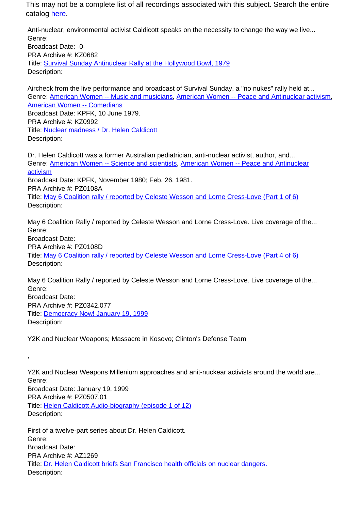Anti-nuclear, environmental activist Caldicott speaks on the necessity to change the way we live... Genre: Broadcast Date: -0- PRA Archive #: KZ0682 Title: Survival Sunday Antinuclear Rally at the Hollywood Bowl, 1979 Description:

Aircheck from the live performance and broadcast of Survival Sunday, a "no nukes" rally held at... Genre: American Women -- Music and musicians, American Women -- Peace and Antinuclear activism, American Women -- Comedians Broadcast Date: KPFK, 10 June 1979. PRA Archive #: KZ0992 Title: Nuclear madness / Dr. Helen Caldicott Description:

Dr. Helen Caldicott was a former Australian pediatrician, anti-nuclear activist, author, and... Genre: American Women -- Science and scientists, American Women -- Peace and Antinuclear activism Broadcast Date: KPFK, November 1980; Feb. 26, 1981. PRA Archive #: PZ0108A Title: May 6 Coalition rally / reported by Celeste Wesson and Lorne Cress-Love (Part 1 of 6) Description:

May 6 Coalition Rally / reported by Celeste Wesson and Lorne Cress-Love. Live coverage of the... Genre: Broadcast Date: PRA Archive #: PZ0108D Title: May 6 Coalition rally / reported by Celeste Wesson and Lorne Cress-Love (Part 4 of 6) Description:

May 6 Coalition Rally / reported by Celeste Wesson and Lorne Cress-Love. Live coverage of the... Genre: Broadcast Date: PRA Archive #: PZ0342.077 Title: Democracy Now! January 19, 1999 Description:

Y2K and Nuclear Weapons; Massacre in Kosovo; Clinton's Defense Team

,

Y2K and Nuclear Weapons Millenium approaches and anit-nuckear activists around the world are... Genre: Broadcast Date: January 19, 1999 PRA Archive #: PZ0507.01 Title: Helen Caldicott Audio-biography (episode 1 of 12) Description:

First of a twelve-part series about Dr. Helen Caldicott. Genre: Broadcast Date: PRA Archive #: AZ1269 Title: Dr. Helen Caldicott briefs San Francisco health officials on nuclear dangers. Description: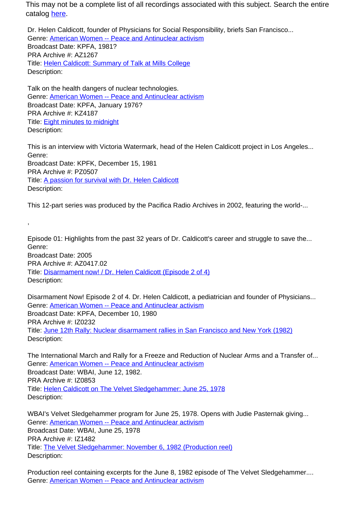Dr. Helen Caldicott, founder of Physicians for Social Responsibility, briefs San Francisco... Genre: American Women -- Peace and Antinuclear activism Broadcast Date: KPFA, 1981? PRA Archive #: AZ1267 Title: Helen Caldicott: Summary of Talk at Mills College Description:

Talk on the health dangers of nuclear technologies. Genre: American Women -- Peace and Antinuclear activism Broadcast Date: KPFA, January 1976? PRA Archive #: KZ4187 Title: Eight minutes to midnight Description:

,

This is an interview with Victoria Watermark, head of the Helen Caldicott project in Los Angeles... Genre: Broadcast Date: KPFK, December 15, 1981 PRA Archive #: PZ0507 Title: A passion for survival with Dr. Helen Caldicott Description:

This 12-part series was produced by the Pacifica Radio Archives in 2002, featuring the world-...

Episode 01: Highlights from the past 32 years of Dr. Caldicott's career and struggle to save the... Genre: Broadcast Date: 2005 PRA Archive #: AZ0417.02 Title: Disarmament now! / Dr. Helen Caldicott (Episode 2 of 4) Description:

Disarmament Now! Episode 2 of 4. Dr. Helen Caldicott, a pediatrician and founder of Physicians... Genre: American Women -- Peace and Antinuclear activism Broadcast Date: KPFA, December 10, 1980 PRA Archive #: IZ0232 Title: June 12th Rally: Nuclear disarmament rallies in San Francisco and New York (1982) Description:

The International March and Rally for a Freeze and Reduction of Nuclear Arms and a Transfer of... Genre: American Women -- Peace and Antinuclear activism Broadcast Date: WBAI, June 12, 1982. PRA Archive #: IZ0853 Title: Helen Caldicott on The Velvet Sledgehammer: June 25, 1978 Description:

WBAI's Velvet Sledgehammer program for June 25, 1978. Opens with Judie Pasternak giving... Genre: American Women -- Peace and Antinuclear activism Broadcast Date: WBAI, June 25, 1978 PRA Archive #: IZ1482 Title: The Velvet Sledgehammer: November 6, 1982 (Production reel) Description:

Production reel containing excerpts for the June 8, 1982 episode of The Velvet Sledgehammer.... Genre: American Women -- Peace and Antinuclear activism